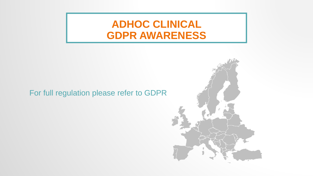### **ADHOC CLINICAL GDPR AWARENESS**

#### For full regulation please refer to GDPR

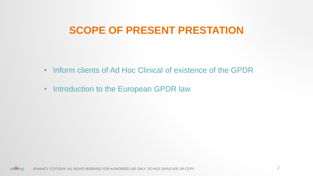### **SCOPE OF PRESENT PRESTATION**

- Inform clients of Ad Hoc Clinical of existence of the GPDR
- Introduction to the European GPDR law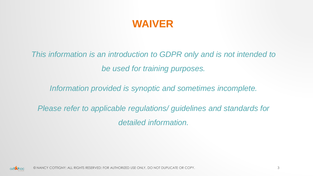### **WAIVER**

*This information is an introduction to GDPR only and is not intended to be used for training purposes.*

*Information provided is synoptic and sometimes incomplete.* 

*Please refer to applicable regulations/ guidelines and standards for detailed information.*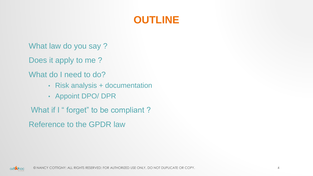# **OUTLINE**

What law do you say ?

Does it apply to me ?

What do I need to do?

- Risk analysis + documentation
- Appoint DPO/ DPR

What if I " forget" to be compliant ?

Reference to the GPDR law

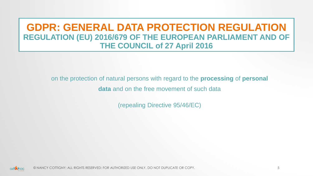### **GDPR: GENERAL DATA PROTECTION REGULATION REGULATION (EU) 2016/679 OF THE EUROPEAN PARLIAMENT AND OF THE COUNCIL of 27 April 2016**

on the protection of natural persons with regard to the **processing** of **personal** 

**data** and on the free movement of such data

(repealing Directive 95/46/EC)

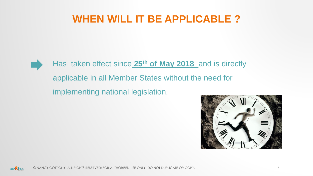### **WHEN WILL IT BE APPLICABLE ?**



# Has taken effect since **25th of May 2018** and is directly applicable in all Member States without the need for implementing national legislation.



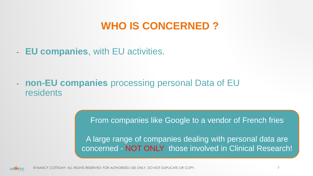# **WHO IS CONCERNED ?**

- **EU companies**, with EU activities.

- **non-EU companies** processing personal Data of EU residents

From companies like Google to a vendor of French fries

A large range of companies dealing with personal data are concerned - NOT ONLY those involved in Clinical Research!

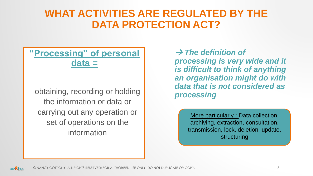# **WHAT ACTIVITIES ARE REGULATED BY THE DATA PROTECTION ACT?**

### **"Processing" of personal data =**

obtaining, recording or holding the information or data or carrying out any operation or set of operations on the information

→ *The definition of processing is very wide and it is difficult to think of anything an organisation might do with data that is not considered as processing* 

> More particularly : Data collection, archiving, extraction, consultation, transmission, lock, deletion, update, structuring

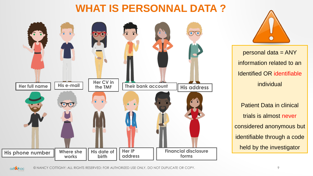# **WHAT IS PERSONNAL DATA ?**





personal data = ANY information related to an Identified OR identifiable individual

Patient Data in clinical trials is almost never considered anonymous but identifiable through a code held by the investigator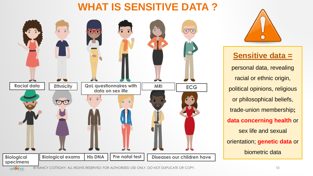# **WHAT IS SENSITIVE DATA ?**





#### **Sensitive data =**

personal data, revealing racial or ethnic origin, political opinions, religious or philosophical beliefs, trade-union membership**; data concerning health** or sex life and sexual orientation; **genetic data** or biometric data

© NANCY COTTIGNY: ALL RIGHTS RESERVED: FOR AUTHORIZED USE ONLY, DO NOT DUPLICATE OR COPY. 10adinoc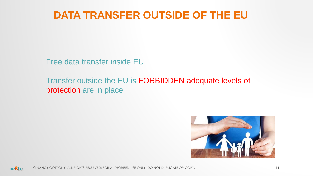# **DATA TRANSFER OUTSIDE OF THE EU**

Free data transfer inside EU

Transfer outside the EU is FORBIDDEN adequate levels of protection are in place



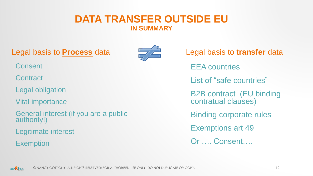#### **DATA TRANSFER OUTSIDE EU IN SUMMARY**

Legal basis to **Process** data



- **Consent**
- **Contract**
- Legal obligation
- Vital importance
- General interest (if you are a public authority!)
- Legitimate interest
- **Exemption**

Legal basis to **transfer** data EEA countries List of "safe countries" B2B contract (EU binding contratual clauses) Binding corporate rules Exemptions art 49 Or …. Consent….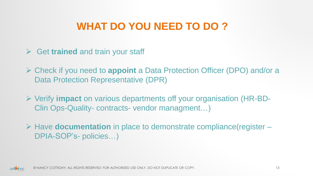# **WHAT DO YOU NEED TO DO ?**

- ➢ Get **trained** and train your staff
- ➢ Check if you need to **appoint** a Data Protection Officer (DPO) and/or a Data Protection Representative (DPR)
- ➢ Verify **impact** on various departments off your organisation (HR-BD-Clin Ops-Quality- contracts- vendor managment…)
- ➢ Have **documentation** in place to demonstrate compliance(register DPIA-SOP's- policies…)

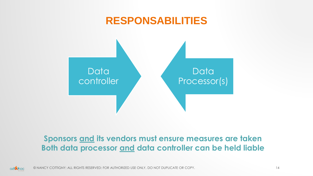

#### **Sponsors and its vendors must ensure measures are taken Both data processor and data controller can be held liable**

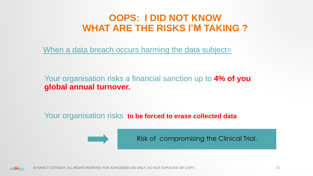### **OOPS: I DID NOT KNOW WHAT ARE THE RISKS I'M TAKING ?**

When a data breach occurs harming the data subject=

Your organisation risks a financial sanction up to **4% of you global annual turnover.** 

Your organisation risks **to be forced to erase collected data** 



Risk of compromising the Clinical Trial.

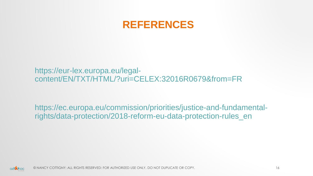

https://eur-lex.europa.eu/legalcontent/EN/TXT/HTML/?uri=CELEX:32016R0679&from=FR

https://ec.europa.eu/commission/priorities/justice-and-fundamentalrights/data-protection/2018-reform-eu-data-protection-rules\_en